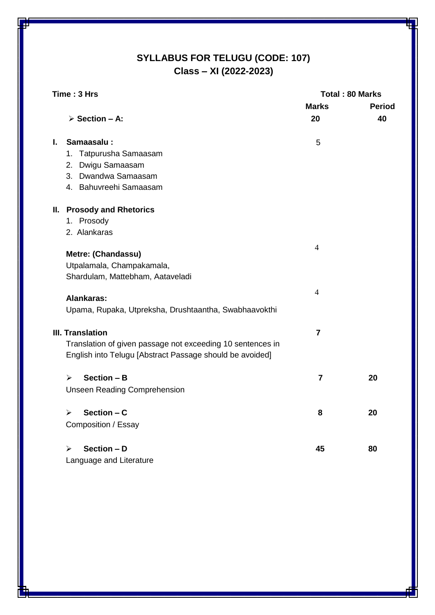# **SYLLABUS FOR TELUGU (CODE: 107) Class – XI (2022-2023)**

| Time: 3 Hrs |                                                            | <b>Total: 80 Marks</b> |               |
|-------------|------------------------------------------------------------|------------------------|---------------|
|             |                                                            | <b>Marks</b>           | <b>Period</b> |
|             | $\triangleright$ Section - A:                              | 20                     | 40            |
| L.          | Samaasalu:                                                 | 5                      |               |
|             | 1. Tatpurusha Samaasam                                     |                        |               |
|             | 2. Dwigu Samaasam                                          |                        |               |
|             | 3. Dwandwa Samaasam                                        |                        |               |
|             | 4. Bahuvreehi Samaasam                                     |                        |               |
|             | <b>II. Prosody and Rhetorics</b>                           |                        |               |
|             | 1. Prosody                                                 |                        |               |
|             | 2. Alankaras                                               |                        |               |
|             | Metre: (Chandassu)                                         | $\overline{4}$         |               |
|             | Utpalamala, Champakamala,                                  |                        |               |
|             | Shardulam, Mattebham, Aataveladi                           |                        |               |
|             |                                                            | $\overline{4}$         |               |
|             | Alankaras:                                                 |                        |               |
|             | Upama, Rupaka, Utpreksha, Drushtaantha, Swabhaavokthi      |                        |               |
|             | <b>III. Translation</b>                                    | $\overline{7}$         |               |
|             | Translation of given passage not exceeding 10 sentences in |                        |               |
|             | English into Telugu [Abstract Passage should be avoided]   |                        |               |
|             | Section - B<br>➤                                           | $\overline{7}$         | 20            |
|             | <b>Unseen Reading Comprehension</b>                        |                        |               |
|             | Section - C<br>➤                                           | 8                      | 20            |
|             | Composition / Essay                                        |                        |               |
|             |                                                            |                        |               |
|             | Section - D<br>⋗                                           | 45                     | 80            |
|             | Language and Literature                                    |                        |               |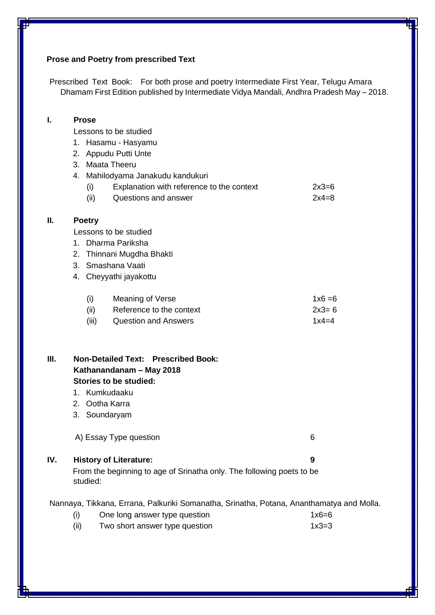## **Prose and Poetry from prescribed Text**

Prescribed Text Book: For both prose and poetry Intermediate First Year, Telugu Amara Dhamam First Edition published by Intermediate Vidya Mandali, Andhra Pradesh May – 2018.

| I.  | <b>Prose</b><br>1.<br>2.<br>3. Maata Theeru<br>(i)<br>(ii)                                                                               | Lessons to be studied<br>Hasamu - Hasyamu<br>Appudu Putti Unte<br>4. Mahilodyama Janakudu kandukuri<br>Explanation with reference to the context<br>Questions and answer | $2x3=6$<br>$2x4=8$                |  |
|-----|------------------------------------------------------------------------------------------------------------------------------------------|--------------------------------------------------------------------------------------------------------------------------------------------------------------------------|-----------------------------------|--|
| П.  | <b>Poetry</b><br>Lessons to be studied<br>1. Dharma Pariksha<br>2. Thinnani Mugdha Bhakti<br>3. Smashana Vaati<br>4. Cheyyathi jayakottu |                                                                                                                                                                          |                                   |  |
|     | (i)<br>(ii)<br>(iii)                                                                                                                     | Meaning of Verse<br>Reference to the context<br><b>Question and Answers</b>                                                                                              | $1x6 = 6$<br>$2x3 = 6$<br>$1x4=4$ |  |
| Ш.  | 1. Kumkudaaku<br>2. Ootha Karra<br>3. Soundaryam                                                                                         | <b>Non-Detailed Text: Prescribed Book:</b><br>Kathanandanam - May 2018<br><b>Stories to be studied:</b>                                                                  |                                   |  |
|     |                                                                                                                                          | A) Essay Type question                                                                                                                                                   | 6                                 |  |
| IV. | studied:                                                                                                                                 | <b>History of Literature:</b><br>From the beginning to age of Srinatha only. The following poets to be                                                                   | 9                                 |  |
|     | (i)                                                                                                                                      | Nannaya, Tikkana, Errana, Palkuriki Somanatha, Srinatha, Potana, Ananthamatya and Molla.<br>One long answer type question                                                | $1x6=6$                           |  |

(ii) Two short answer type question  $1x3=3$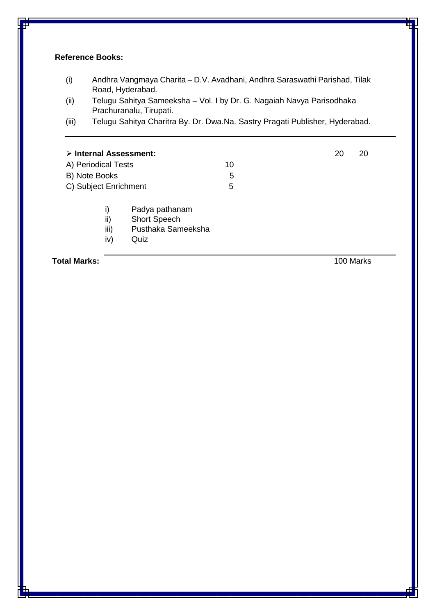### **Reference Books:**

- (i) Andhra Vangmaya Charita D.V. Avadhani, Andhra Saraswathi Parishad, Tilak Road, Hyderabad.
- (ii) Telugu Sahitya Sameeksha Vol. I by Dr. G. Nagaiah Navya Parisodhaka Prachuranalu, Tirupati.
- (iii) Telugu Sahitya Charitra By. Dr. Dwa.Na. Sastry Pragati Publisher, Hyderabad.

| $\triangleright$ Internal Assessment: |                                                                     |    | 20 | 20        |
|---------------------------------------|---------------------------------------------------------------------|----|----|-----------|
| A) Periodical Tests                   |                                                                     | 10 |    |           |
| B) Note Books                         |                                                                     | 5  |    |           |
| C) Subject Enrichment                 |                                                                     | 5  |    |           |
| i)<br>ii)<br>iii)<br>iv)              | Padya pathanam<br><b>Short Speech</b><br>Pusthaka Sameeksha<br>Quiz |    |    |           |
| <b>Total Marks:</b>                   |                                                                     |    |    | 100 Marks |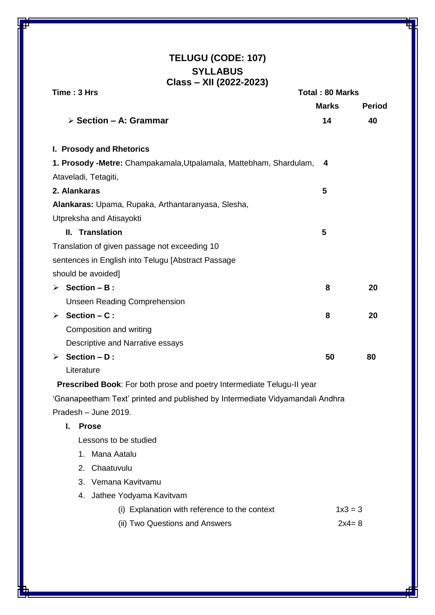## **TELUGU (CODE: 107) SYLLABUS Class – XII (2022-2023)**

| Time: 3 Hrs                                                                   |              | <b>Total: 80 Marks</b> |  |
|-------------------------------------------------------------------------------|--------------|------------------------|--|
|                                                                               | <b>Marks</b> | Period                 |  |
| $\triangleright$ Section – A: Grammar                                         | 14           | 40                     |  |
| I. Prosody and Rhetorics                                                      |              |                        |  |
| 1. Prosody -Metre: Champakamala, Utpalamala, Mattebham, Shardulam,            | 4            |                        |  |
| Ataveladi, Tetagiti,                                                          |              |                        |  |
| 2. Alankaras                                                                  | 5            |                        |  |
| Alankaras: Upama, Rupaka, Arthantaranyasa, Slesha,                            |              |                        |  |
| Utpreksha and Atisayokti                                                      |              |                        |  |
| II. Translation                                                               | 5            |                        |  |
| Translation of given passage not exceeding 10                                 |              |                        |  |
| sentences in English into Telugu [Abstract Passage                            |              |                        |  |
| should be avoided]                                                            |              |                        |  |
| $\triangleright$ Section – B :                                                | 8            | 20                     |  |
| <b>Unseen Reading Comprehension</b>                                           |              |                        |  |
| $\triangleright$ Section – C:                                                 | 8            | 20                     |  |
| Composition and writing                                                       |              |                        |  |
| Descriptive and Narrative essays                                              |              |                        |  |
| $\triangleright$ Section – D:                                                 |              | 80                     |  |
| Literature                                                                    |              |                        |  |
| Prescribed Book: For both prose and poetry Intermediate Telugu-II year        |              |                        |  |
| 'Gnanapeetham Text' printed and published by Intermediate Vidyamandali Andhra |              |                        |  |
| Pradesh – June 2019.                                                          |              |                        |  |
| L.<br><b>Prose</b>                                                            |              |                        |  |
| Lessons to be studied                                                         |              |                        |  |
| Mana Aatalu<br>1.                                                             |              |                        |  |
| Chaatuvulu<br>2 <sup>2</sup>                                                  |              |                        |  |
| 3. Vemana Kavitvamu                                                           |              |                        |  |
| 4. Jathee Yodyama Kavitvam                                                    |              |                        |  |
| (i) Explanation with reference to the context                                 | $1x3 = 3$    |                        |  |
| (ii) Two Questions and Answers                                                | $2x4 = 8$    |                        |  |
|                                                                               |              |                        |  |